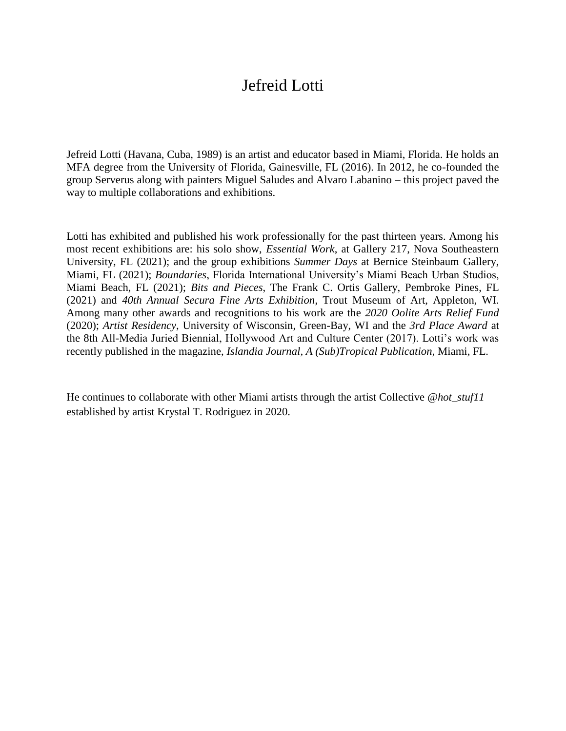## Jefreid Lotti

Jefreid Lotti (Havana, Cuba, 1989) is an artist and educator based in Miami, Florida. He holds an MFA degree from the University of Florida, Gainesville, FL (2016). In 2012, he co-founded the group Serverus along with painters Miguel Saludes and Alvaro Labanino – this project paved the way to multiple collaborations and exhibitions.

Lotti has exhibited and published his work professionally for the past thirteen years. Among his most recent exhibitions are: his solo show, *Essential Work*, at Gallery 217, Nova Southeastern University, FL (2021); and the group exhibitions *Summer Days* at Bernice Steinbaum Gallery, Miami, FL (2021); *Boundaries*, Florida International University's Miami Beach Urban Studios, Miami Beach, FL (2021); *Bits and Pieces*, The Frank C. Ortis Gallery, Pembroke Pines, FL (2021) and *40th Annual Secura Fine Arts Exhibition*, Trout Museum of Art, Appleton, WI. Among many other awards and recognitions to his work are the *2020 Oolite Arts Relief Fund* (2020); *Artist Residency*, University of Wisconsin, Green-Bay, WI and the *3rd Place Award* at the 8th All-Media Juried Biennial, Hollywood Art and Culture Center (2017). Lotti's work was recently published in the magazine, *Islandia Journal, A (Sub)Tropical Publication*, Miami, FL.

He continues to collaborate with other Miami artists through the artist Collective *@hot\_stuf11* established by artist Krystal T. Rodriguez in 2020.